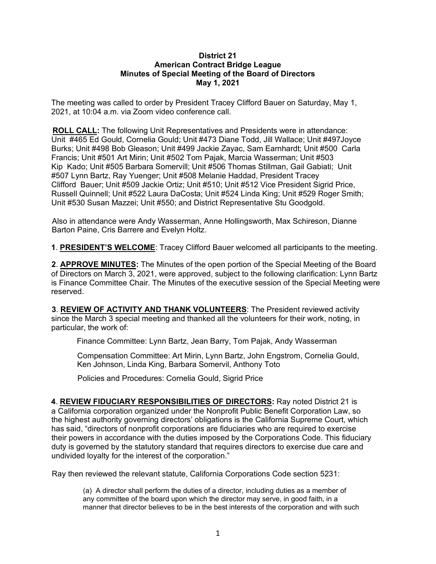## **District 21 American Contract Bridge League Minutes of Special Meeting of the Board of Directors May 1, 2021**

The meeting was called to order by President Tracey Clifford Bauer on Saturday, May 1, 2021, at 10:04 a.m. via Zoom video conference call.

**ROLL CALL:** The following Unit Representatives and Presidents were in attendance: Unit #465 Ed Gould, Cornelia Gould; Unit #473 Diane Todd, Jill Wallace; Unit #497Joyce Burks; Unit #498 Bob Gleason; Unit #499 Jackie Zayac, Sam Earnhardt; Unit #500 Carla Francis; Unit #501 Art Mirin; Unit #502 Tom Pajak, Marcia Wasserman; Unit #503 Kip Kado; Unit #505 Barbara Somervill; Unit #506 Thomas Stillman, Gail Gabiati; Unit #507 Lynn Bartz, Ray Yuenger; Unit #508 Melanie Haddad, President Tracey Clifford Bauer; Unit #509 Jackie Ortiz; Unit #510; Unit #512 Vice President Sigrid Price, Russell Quinnell; Unit #522 Laura DaCosta; Unit #524 Linda King; Unit #529 Roger Smith; Unit #530 Susan Mazzei; Unit #550; and District Representative Stu Goodgold.

Also in attendance were Andy Wasserman, Anne Hollingsworth, Max Schireson, Dianne Barton Paine, Cris Barrere and Evelyn Holtz.

**1**. **PRESIDENT'S WELCOME**: Tracey Clifford Bauer welcomed all participants to the meeting.

**2**. **APPROVE MINUTES:** The Minutes of the open portion of the Special Meeting of the Board of Directors on March 3, 2021, were approved, subject to the following clarification: Lynn Bartz is Finance Committee Chair. The Minutes of the executive session of the Special Meeting were reserved.

**3**. **REVIEW OF ACTIVITY AND THANK VOLUNTEERS**: The President reviewed activity since the March 3 special meeting and thanked all the volunteers for their work, noting, in particular, the work of:

Finance Committee: Lynn Bartz, Jean Barry, Tom Pajak, Andy Wasserman

Compensation Committee: Art Mirin, Lynn Bartz, John Engstrom, Cornelia Gould, Ken Johnson, Linda King, Barbara Somervil, Anthony Toto

Policies and Procedures: Cornelia Gould, Sigrid Price

**4**. **REVIEW FIDUCIARY RESPONSIBILITIES OF DIRECTORS:** Ray noted District 21 is a California corporation organized under the Nonprofit Public Benefit Corporation Law, so the highest authority governing directors' obligations is the California Supreme Court, which has said, "directors of nonprofit corporations are fiduciaries who are required to exercise their powers in accordance with the duties imposed by the Corporations Code. This fiduciary duty is governed by the statutory standard that requires directors to exercise due care and undivided loyalty for the interest of the corporation."

Ray then reviewed the relevant statute, California Corporations Code section 5231:

(a) A director shall perform the duties of a director, including duties as a member of any committee of the board upon which the director may serve, in good faith, in a manner that director believes to be in the best interests of the corporation and with such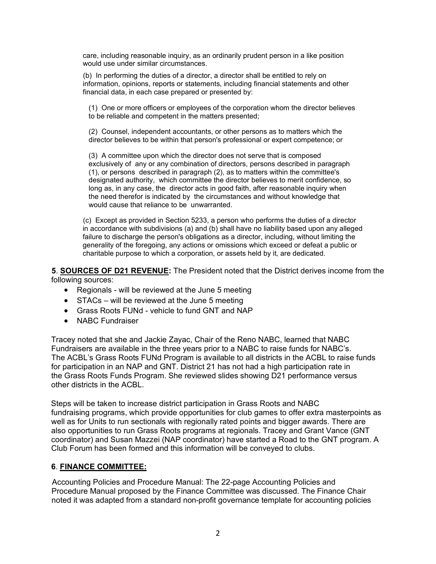care, including reasonable inquiry, as an ordinarily prudent person in a like position would use under similar circumstances.

(b) In performing the duties of a director, a director shall be entitled to rely on information, opinions, reports or statements, including financial statements and other financial data, in each case prepared or presented by:

(1) One or more officers or employees of the corporation whom the director believes to be reliable and competent in the matters presented;

(2) Counsel, independent accountants, or other persons as to matters which the director believes to be within that person's professional or expert competence; or

(3) A committee upon which the director does not serve that is composed exclusively of any or any combination of directors, persons described in paragraph (1), or persons described in paragraph (2), as to matters within the committee's designated authority, which committee the director believes to merit confidence, so long as, in any case, the director acts in good faith, after reasonable inquiry when the need therefor is indicated by the circumstances and without knowledge that would cause that reliance to be unwarranted.

(c) Except as provided in Section 5233, a person who performs the duties of a director in accordance with subdivisions (a) and (b) shall have no liability based upon any alleged failure to discharge the person's obligations as a director, including, without limiting the generality of the foregoing, any actions or omissions which exceed or defeat a public or charitable purpose to which a corporation, or assets held by it, are dedicated.

**5**. **SOURCES OF D21 REVENUE:** The President noted that the District derives income from the following sources:

- Regionals will be reviewed at the June 5 meeting
- STACs will be reviewed at the June 5 meeting
- Grass Roots FUNd vehicle to fund GNT and NAP
- NABC Fundraiser

Tracey noted that she and Jackie Zayac, Chair of the Reno NABC, learned that NABC Fundraisers are available in the three years prior to a NABC to raise funds for NABC's. The ACBL's Grass Roots FUNd Program is available to all districts in the ACBL to raise funds for participation in an NAP and GNT. District 21 has not had a high participation rate in the Grass Roots Funds Program. She reviewed slides showing D21 performance versus other districts in the ACBL.

Steps will be taken to increase district participation in Grass Roots and NABC fundraising programs, which provide opportunities for club games to offer extra masterpoints as well as for Units to run sectionals with regionally rated points and bigger awards. There are also opportunities to run Grass Roots programs at regionals. Tracey and Grant Vance (GNT coordinator) and Susan Mazzei (NAP coordinator) have started a Road to the GNT program. A Club Forum has been formed and this information will be conveyed to clubs.

## **6**. **FINANCE COMMITTEE:**

Accounting Policies and Procedure Manual: The 22-page Accounting Policies and Procedure Manual proposed by the Finance Committee was discussed. The Finance Chair noted it was adapted from a standard non-profit governance template for accounting policies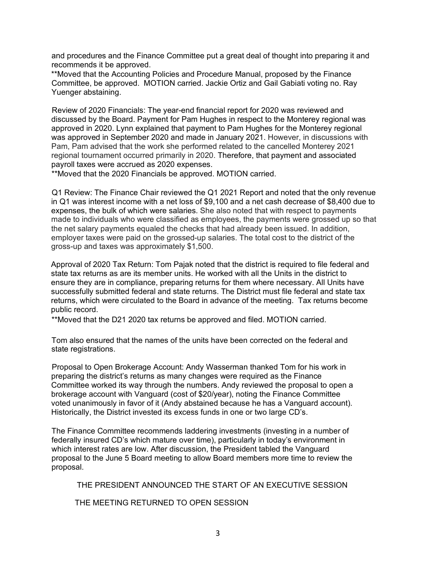and procedures and the Finance Committee put a great deal of thought into preparing it and recommends it be approved.

\*\*Moved that the Accounting Policies and Procedure Manual, proposed by the Finance Committee, be approved. MOTION carried. Jackie Ortiz and Gail Gabiati voting no. Ray Yuenger abstaining.

Review of 2020 Financials: The year-end financial report for 2020 was reviewed and discussed by the Board. Payment for Pam Hughes in respect to the Monterey regional was approved in 2020. Lynn explained that payment to Pam Hughes for the Monterey regional was approved in September 2020 and made in January 2021. However, in discussions with Pam, Pam advised that the work she performed related to the cancelled Monterey 2021 regional tournament occurred primarily in 2020. Therefore, that payment and associated payroll taxes were accrued as 2020 expenses.

\*\*Moved that the 2020 Financials be approved. MOTION carried.

Q1 Review: The Finance Chair reviewed the Q1 2021 Report and noted that the only revenue in Q1 was interest income with a net loss of \$9,100 and a net cash decrease of \$8,400 due to expenses, the bulk of which were salaries. She also noted that with respect to payments made to individuals who were classified as employees, the payments were grossed up so that the net salary payments equaled the checks that had already been issued. In addition, employer taxes were paid on the grossed-up salaries. The total cost to the district of the gross-up and taxes was approximately \$1,500.

Approval of 2020 Tax Return: Tom Pajak noted that the district is required to file federal and state tax returns as are its member units. He worked with all the Units in the district to ensure they are in compliance, preparing returns for them where necessary. All Units have successfully submitted federal and state returns. The District must file federal and state tax returns, which were circulated to the Board in advance of the meeting. Tax returns become public record.

\*\*Moved that the D21 2020 tax returns be approved and filed. MOTION carried.

Tom also ensured that the names of the units have been corrected on the federal and state registrations.

Proposal to Open Brokerage Account: Andy Wasserman thanked Tom for his work in preparing the district's returns as many changes were required as the Finance Committee worked its way through the numbers. Andy reviewed the proposal to open a brokerage account with Vanguard (cost of \$20/year), noting the Finance Committee voted unanimously in favor of it (Andy abstained because he has a Vanguard account). Historically, the District invested its excess funds in one or two large CD's.

The Finance Committee recommends laddering investments (investing in a number of federally insured CD's which mature over time), particularly in today's environment in which interest rates are low. After discussion, the President tabled the Vanguard proposal to the June 5 Board meeting to allow Board members more time to review the proposal.

THE PRESIDENT ANNOUNCED THE START OF AN EXECUTIVE SESSION

THE MEETING RETURNED TO OPEN SESSION